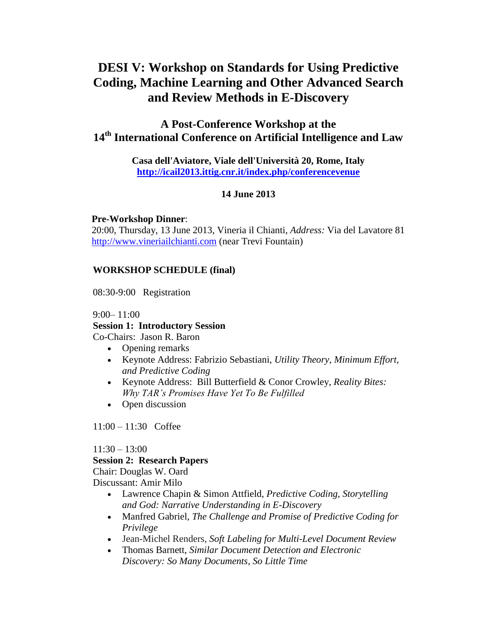# **DESI V: Workshop on Standards for Using Predictive Coding, Machine Learning and Other Advanced Search and Review Methods in E-Discovery**

# **A Post-Conference Workshop at the 14th International Conference on Artificial Intelligence and Law**

**[Casa dell'Aviatore,](http://www.casaviatore.it/) Viale dell'Università 20, Rome, Italy <http://icail2013.ittig.cnr.it/index.php/conferencevenue>**

# **14 June 2013**

**Pre-Workshop Dinner**:

 20:00, Thursday, 13 June 2013, Vineria il Chianti, *Address:* Via del Lavatore 81 [http://www.vineriailchianti.com](http://www.vineriailchianti.com/) (near Trevi Fountain)

# **WORKSHOP SCHEDULE (final)**

08:30-9:00 Registration

#### 9:00– 11:00

# **Session 1: Introductory Session**

Co-Chairs: Jason R. Baron

- Opening remarks
- Keynote Address: Fabrizio Sebastiani, *Utility Theory, Minimum Effort, and Predictive Coding*
- Keynote Address: Bill Butterfield & Conor Crowley, *Reality Bites: Why TAR's Promises Have Yet To Be Fulfilled*
- Open discussion

11:00 – 11:30 Coffee

# $11:30 - 13:00$

# **Session 2: Research Papers**

Chair: Douglas W. Oard Discussant: Amir Milo

- Lawrence Chapin & Simon Attfield, *Predictive Coding, Storytelling and God: Narrative Understanding in E-Discovery*
- Manfred Gabriel, *The Challenge and Promise of Predictive Coding for Privilege*
- Jean-Michel Renders, *Soft Labeling for Multi-Level Document Review*
- Thomas Barnett, *Similar Document Detection and Electronic Discovery: So Many Documents, So Little Time*